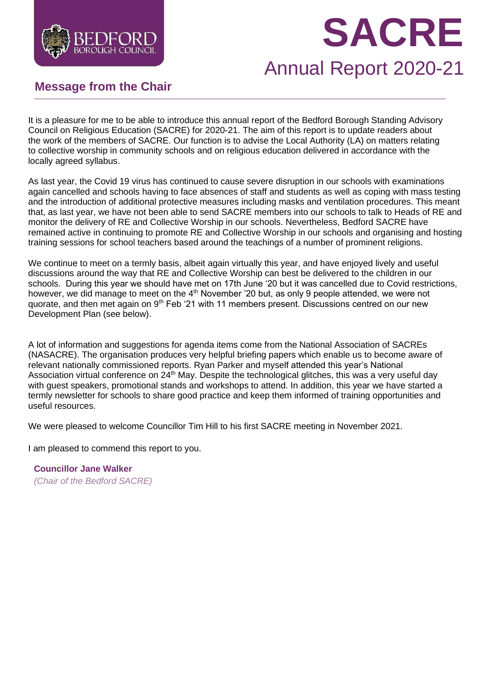

# **SACRE**

# Annual Report 2020-21

# **Message from the Chair**

It is a pleasure for me to be able to introduce this annual report of the Bedford Borough Standing Advisory Council on Religious Education (SACRE) for 2020-21. The aim of this report is to update readers about the work of the members of SACRE. Our function is to advise the Local Authority (LA) on matters relating to collective worship in community schools and on religious education delivered in accordance with the locally agreed syllabus.

As last year, the Covid 19 virus has continued to cause severe disruption in our schools with examinations again cancelled and schools having to face absences of staff and students as well as coping with mass testing and the introduction of additional protective measures including masks and ventilation procedures. This meant that, as last year, we have not been able to send SACRE members into our schools to talk to Heads of RE and monitor the delivery of RE and Collective Worship in our schools. Nevertheless, Bedford SACRE have remained active in continuing to promote RE and Collective Worship in our schools and organising and hosting training sessions for school teachers based around the teachings of a number of prominent religions.

We continue to meet on a termly basis, albeit again virtually this year, and have enjoyed lively and useful discussions around the way that RE and Collective Worship can best be delivered to the children in our schools. During this year we should have met on 17th June '20 but it was cancelled due to Covid restrictions, however, we did manage to meet on the 4<sup>th</sup> November '20 but, as only 9 people attended, we were not quorate, and then met again on 9<sup>th</sup> Feb '21 with 11 members present. Discussions centred on our new Development Plan (see below).

A lot of information and suggestions for agenda items come from the National Association of SACREs (NASACRE). The organisation produces very helpful briefing papers which enable us to become aware of relevant nationally commissioned reports. Ryan Parker and myself attended this year's National Association virtual conference on 24<sup>th</sup> May. Despite the technological glitches, this was a very useful day with guest speakers, promotional stands and workshops to attend. In addition, this year we have started a termly newsletter for schools to share good practice and keep them informed of training opportunities and useful resources.

We were pleased to welcome Councillor Tim Hill to his first SACRE meeting in November 2021.

I am pleased to commend this report to you.

**Councillor Jane Walker** *(Chair of the Bedford SACRE)*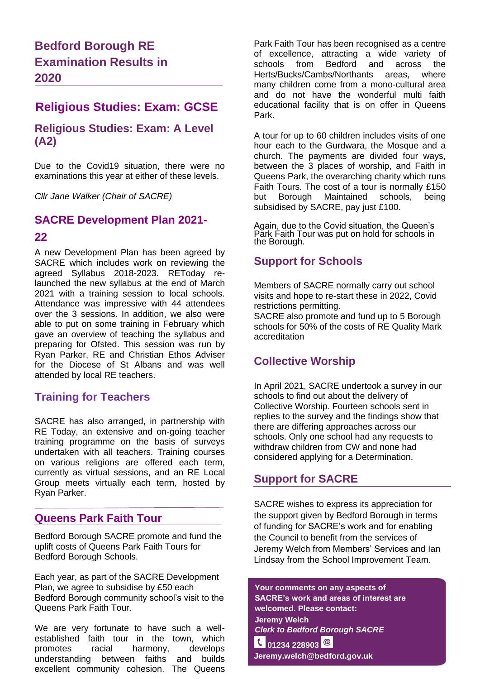# **Bedford Borough RE Examination Results in 2020**

# **Religious Studies: Exam: GCSE**

#### **Religious Studies: Exam: A Level (A2)**

Due to the Covid19 situation, there were no examinations this year at either of these levels.

*Cllr Jane Walker (Chair of SACRE)*

#### **SACRE Development Plan 2021-**

#### **22**

A new Development Plan has been agreed by SACRE which includes work on reviewing the agreed Syllabus 2018-2023. REToday relaunched the new syllabus at the end of March 2021 with a training session to local schools. Attendance was impressive with 44 attendees over the 3 sessions. In addition, we also were able to put on some training in February which gave an overview of teaching the syllabus and preparing for Ofsted. This session was run by Ryan Parker, RE and Christian Ethos Adviser for the Diocese of St Albans and was well attended by local RE teachers.

#### **Training for Teachers**

SACRE has also arranged, in partnership with RE Today, an extensive and on-going teacher training programme on the basis of surveys undertaken with all teachers. Training courses on various religions are offered each term, currently as virtual sessions, and an RE Local Group meets virtually each term, hosted by Ryan Parker.

#### **Queens Park Faith Tour**

Bedford Borough SACRE promote and fund the uplift costs of Queens Park Faith Tours for Bedford Borough Schools.

Each year, as part of the SACRE Development Plan, we agree to subsidise by £50 each Bedford Borough community school's visit to the Queens Park Faith Tour.

We are very fortunate to have such a wellestablished faith tour in the town, which promotes racial harmony, develops understanding between faiths and builds excellent community cohesion. The Queens

Park Faith Tour has been recognised as a centre of excellence, attracting a wide variety of schools from Bedford and across the Herts/Bucks/Cambs/Northants areas, where many children come from a mono-cultural area and do not have the wonderful multi faith educational facility that is on offer in Queens Park.

A tour for up to 60 children includes visits of one hour each to the Gurdwara, the Mosque and a church. The payments are divided four ways, between the 3 places of worship, and Faith in Queens Park, the overarching charity which runs Faith Tours. The cost of a tour is normally £150 but Borough Maintained schools, being subsidised by SACRE, pay just £100.

Again, due to the Covid situation, the Queen's Park Faith Tour was put on hold for schools in the Borough.

#### **Support for Schools**

Members of SACRE normally carry out school visits and hope to re-start these in 2022, Covid restrictions permitting.

SACRE also promote and fund up to 5 Borough schools for 50% of the costs of RE Quality Mark accreditation

### **Collective Worship**

In April 2021, SACRE undertook a survey in our schools to find out about the delivery of Collective Worship. Fourteen schools sent in replies to the survey and the findings show that there are differing approaches across our schools. Only one school had any requests to withdraw children from CW and none had considered applying for a Determination.

#### **Support for SACRE**

SACRE wishes to express its appreciation for the support given by Bedford Borough in terms of funding for SACRE's work and for enabling the Council to benefit from the services of Jeremy Welch from Members' Services and Ian Lindsay from the School Improvement Team.

**Your comments on any aspects of SACRE's work and areas of interest are welcomed. Please contact: Jeremy Welch** *Clerk to Bedford Borough SACRE* **c** 01234 228903 <sup>@</sup> **Jeremy.welch@bedford.gov.uk**